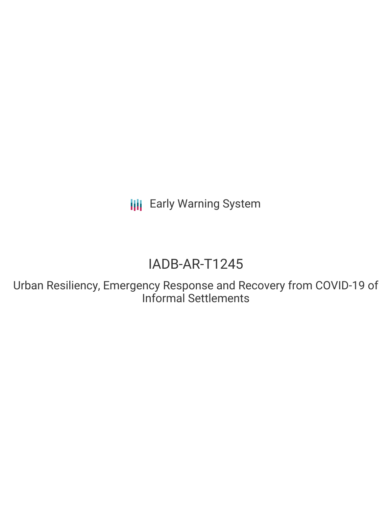**III** Early Warning System

# IADB-AR-T1245

Urban Resiliency, Emergency Response and Recovery from COVID-19 of Informal Settlements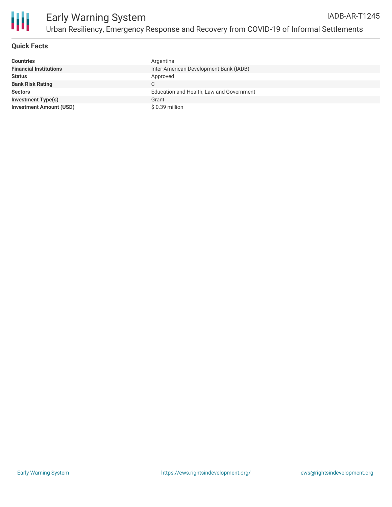

## **Quick Facts**

| <b>Countries</b>               | Argentina                                |
|--------------------------------|------------------------------------------|
| <b>Financial Institutions</b>  | Inter-American Development Bank (IADB)   |
| <b>Status</b>                  | Approved                                 |
| <b>Bank Risk Rating</b>        | C.                                       |
| <b>Sectors</b>                 | Education and Health, Law and Government |
| <b>Investment Type(s)</b>      | Grant                                    |
| <b>Investment Amount (USD)</b> | \$0.39 million                           |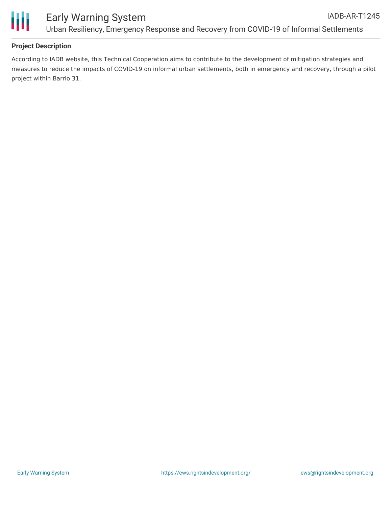

## **Project Description**

According to IADB website, this Technical Cooperation aims to contribute to the development of mitigation strategies and measures to reduce the impacts of COVID-19 on informal urban settlements, both in emergency and recovery, through a pilot project within Barrio 31.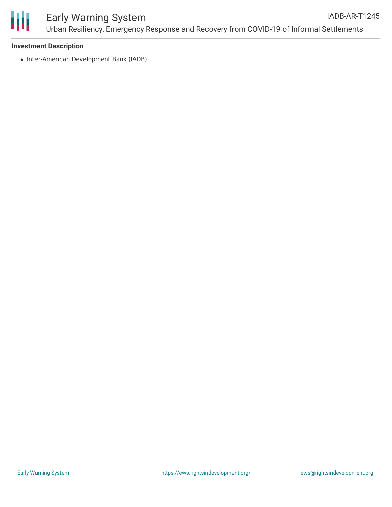

### **Investment Description**

• Inter-American Development Bank (IADB)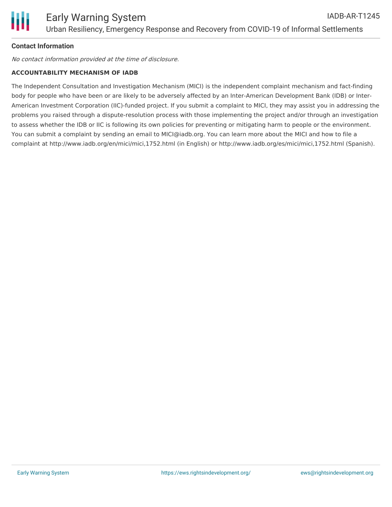## **Contact Information**

No contact information provided at the time of disclosure.

### **ACCOUNTABILITY MECHANISM OF IADB**

The Independent Consultation and Investigation Mechanism (MICI) is the independent complaint mechanism and fact-finding body for people who have been or are likely to be adversely affected by an Inter-American Development Bank (IDB) or Inter-American Investment Corporation (IIC)-funded project. If you submit a complaint to MICI, they may assist you in addressing the problems you raised through a dispute-resolution process with those implementing the project and/or through an investigation to assess whether the IDB or IIC is following its own policies for preventing or mitigating harm to people or the environment. You can submit a complaint by sending an email to MICI@iadb.org. You can learn more about the MICI and how to file a complaint at http://www.iadb.org/en/mici/mici,1752.html (in English) or http://www.iadb.org/es/mici/mici,1752.html (Spanish).